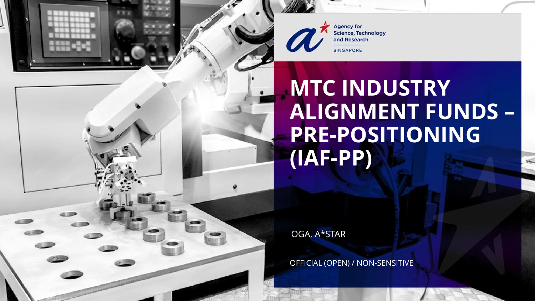

**Agency for Science, Technology** and Research

# **MTC INDUSTRY ALIGNMENT FUNDS – PRE-POSITIONING (IAF-PP)**

OGA, A\*STAR

OFFICIAL (OPEN) / NON-SENSITIVE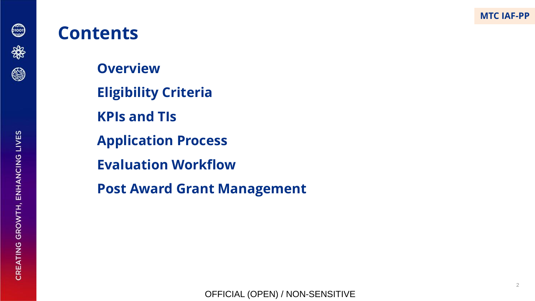

**Overview**

- **Eligibility Criteria**
- **KPIs and TIs**
- **Application Process**
- **Evaluation Workflow**
- **Post Award Grant Management**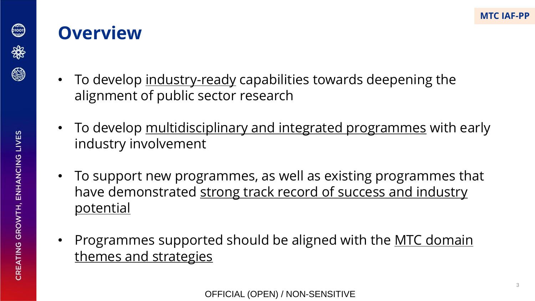

#### **Overview**

- To develop industry-ready capabilities towards deepening the alignment of public sector research
- To develop multidisciplinary and integrated programmes with early industry involvement
- To support new programmes, as well as existing programmes that have demonstrated strong track record of success and industry potential
- Programmes supported should be aligned with the <u>MTC domain</u> themes and strategies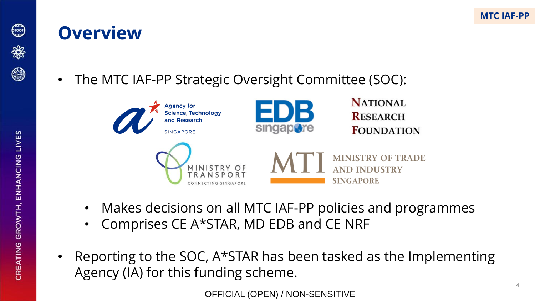

#### **Overview**





- Makes decisions on all MTC IAF-PP policies and programmes
- Comprises CE A\*STAR, MD EDB and CE NRF
- Reporting to the SOC, A\*STAR has been tasked as the Implementing Agency (IA) for this funding scheme.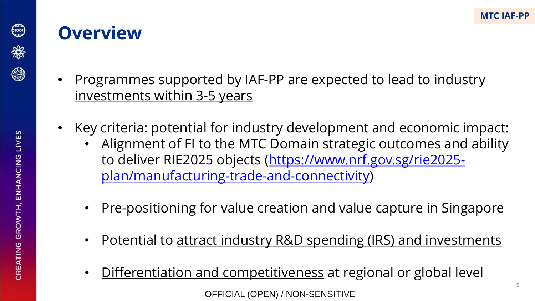5



- Programmes supported by IAF-PP are expected to lead to industry investments within 3-5 years
- Key criteria: potential for industry development and economic impact:
	- Alignment of FI to the MTC Domain strategic outcomes and ability [to deliver RIE2025 objects \(https://www.nrf.gov.sg/rie2025](https://www.nrf.gov.sg/rie2025-plan/manufacturing-trade-and-connectivity) plan/manufacturing-trade-and-connectivity)
	- Pre-positioning for value creation and value capture in Singapore
	- Potential to attract industry R&D spending (IRS) and investments
	- Differentiation and competitiveness at regional or global level OFFICIAL (OPEN) / NON-SENSITIVE

600)

\*

@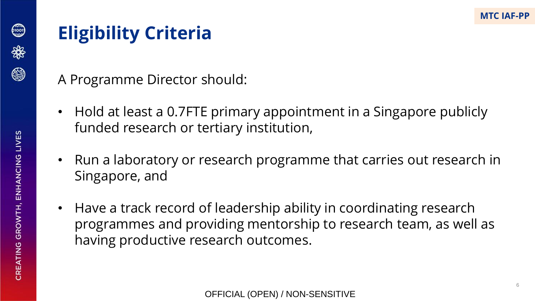CREATING GROWTH, ENHANCING LIVES

# **Eligibility Criteria**

- A Programme Director should:
- Hold at least a 0.7FTE primary appointment in a Singapore publicly funded research or tertiary institution,
- Run a laboratory or research programme that carries out research in Singapore, and
- Have a track record of leadership ability in coordinating research programmes and providing mentorship to research team, as well as having productive research outcomes.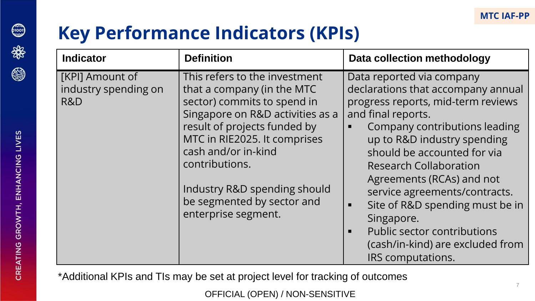7

### **Key Performance Indicators (KPIs)**

| <b>Indicator</b>                               | <b>Definition</b>                                                                                                                                                                                                                                                                                                            | Data collection methodology                                                                                                                                                                                                                                                                                                                                                                                                                                                               |
|------------------------------------------------|------------------------------------------------------------------------------------------------------------------------------------------------------------------------------------------------------------------------------------------------------------------------------------------------------------------------------|-------------------------------------------------------------------------------------------------------------------------------------------------------------------------------------------------------------------------------------------------------------------------------------------------------------------------------------------------------------------------------------------------------------------------------------------------------------------------------------------|
| [KPI] Amount of<br>industry spending on<br>R&D | This refers to the investment<br>that a company (in the MTC<br>sector) commits to spend in<br>Singapore on R&D activities as a<br>result of projects funded by<br>MTC in RIE2025. It comprises<br>cash and/or in-kind<br>contributions.<br>Industry R&D spending should<br>be segmented by sector and<br>enterprise segment. | Data reported via company<br>declarations that accompany annual<br>progress reports, mid-term reviews<br>and final reports.<br>Company contributions leading<br>up to R&D industry spending<br>should be accounted for via<br><b>Research Collaboration</b><br>Agreements (RCAs) and not<br>service agreements/contracts.<br>Site of R&D spending must be in<br>п<br>Singapore.<br>Public sector contributions<br>$\blacksquare$<br>(cash/in-kind) are excluded from<br>IRS computations. |

\*Additional KPIs and TIs may be set at project level for tracking of outcomes

OFFICIAL (OPEN) / NON-SENSITIVE



600)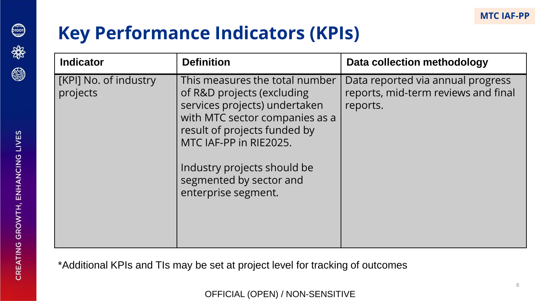8

### **Key Performance Indicators (KPIs)**

| <b>Indicator</b>                  | <b>Definition</b>                                                                                                                                                                                                                                                          | Data collection methodology                                                          |
|-----------------------------------|----------------------------------------------------------------------------------------------------------------------------------------------------------------------------------------------------------------------------------------------------------------------------|--------------------------------------------------------------------------------------|
| [KPI] No. of industry<br>projects | This measures the total number<br>of R&D projects (excluding<br>services projects) undertaken<br>with MTC sector companies as a<br>result of projects funded by<br>MTC IAF-PP in RIE2025.<br>Industry projects should be<br>segmented by sector and<br>enterprise segment. | Data reported via annual progress<br>reports, mid-term reviews and final<br>reports. |

\*Additional KPIs and TIs may be set at project level for tracking of outcomes

OFFICIAL (OPEN) / NON-SENSITIVE



0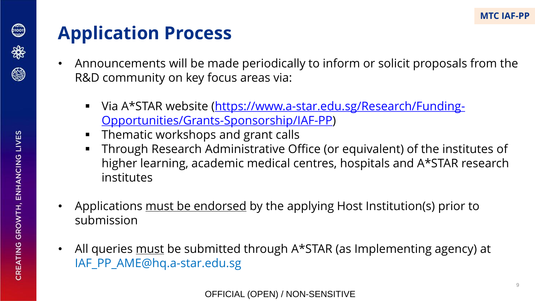

❀

- Announcements will be made periodically to inform or solicit proposals from the R&D community on key focus areas via:
	- [Via A\\*STAR website \(https://www.a-star.edu.sg/Research/Funding-](https://www.a-star.edu.sg/Research/Funding-Opportunities/Grants-Sponsorship/IAF-PP)Opportunities/Grants-Sponsorship/IAF-PP)
	- Thematic workshops and grant calls
	- Through Research Administrative Office (or equivalent) of the institutes of higher learning, academic medical centres, hospitals and A\*STAR research institutes
- Applications must be endorsed by the applying Host Institution(s) prior to submission
- All queries must be submitted through A\*STAR (as Implementing agency) at IAF\_PP\_AME@hq.a-star.edu.sg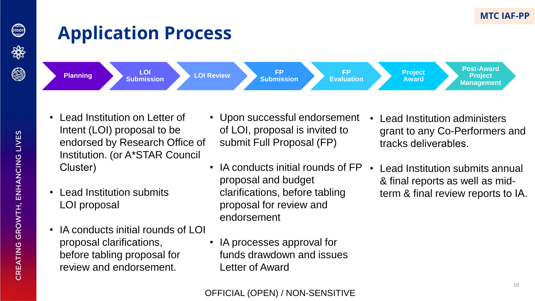### 6,000 \*

❀

# **Application Process**









**Post-Award Project Management**

- Lead Institution on Letter of Intent (LOI) proposal to be endorsed by Research Office of Institution. (or A\*STAR Council Cluster)
- Lead Institution submits LOI proposal
- IA conducts initial rounds of  $LOI$ proposal clarifications, before tabling proposal for review and endorsement.
- Upon successful endorsement of LOI, proposal is invited to submit Full Proposal (FP)
- IA conducts initial rounds of FP proposal and budget clarifications, before tabling proposal for review and endorsement
- IA processes approval for funds drawdown and issues Letter of Award
- Lead Institution administers grant to any Co-Performers and tracks deliverables.
- Lead Institution submits annual & final reports as well as midterm & final review reports to IA.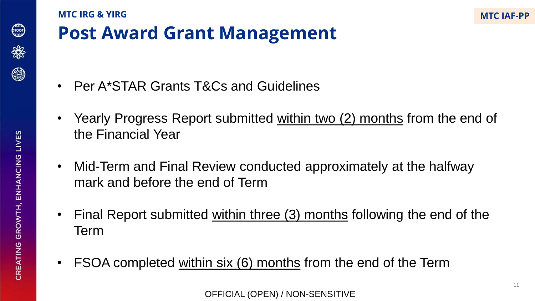

#### **Post Award Grant Management MTC IRG & YIRG**

- Per A\*STAR Grants T&Cs and Guidelines
- Yearly Progress Report submitted within two (2) months from the end of the Financial Year
- Mid-Term and Final Review conducted approximately at the halfway mark and before the end of Term
- Final Report submitted within three (3) months following the end of the Term
- FSOA completed within six (6) months from the end of the Term

**MTC IAF-PP**